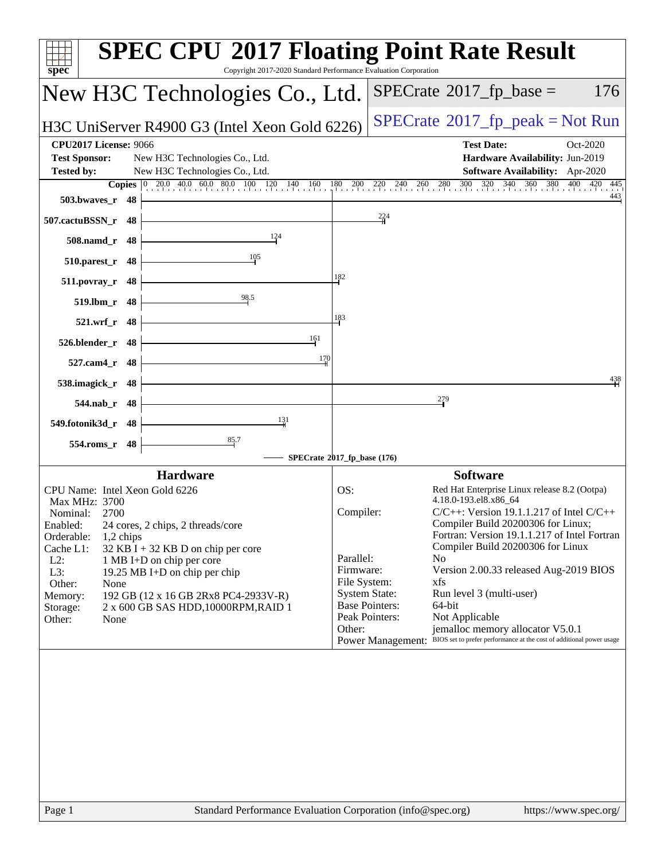| Copyright 2017-2020 Standard Performance Evaluation Corporation<br>$spec^*$                                                                                                                                                                                                                                                                                                                                                                       | <b>SPEC CPU®2017 Floating Point Rate Result</b>                                                                                                                                                                                                                                                                                                                                                                                                                                                                                                                                                                                                                          |
|---------------------------------------------------------------------------------------------------------------------------------------------------------------------------------------------------------------------------------------------------------------------------------------------------------------------------------------------------------------------------------------------------------------------------------------------------|--------------------------------------------------------------------------------------------------------------------------------------------------------------------------------------------------------------------------------------------------------------------------------------------------------------------------------------------------------------------------------------------------------------------------------------------------------------------------------------------------------------------------------------------------------------------------------------------------------------------------------------------------------------------------|
| New H3C Technologies Co., Ltd.                                                                                                                                                                                                                                                                                                                                                                                                                    | $SPECrate^{\circ}2017$ _fp_base =<br>176                                                                                                                                                                                                                                                                                                                                                                                                                                                                                                                                                                                                                                 |
| H3C UniServer R4900 G3 (Intel Xeon Gold 6226)                                                                                                                                                                                                                                                                                                                                                                                                     | $SPECrate^{\circ}2017$ [p_peak = Not Run                                                                                                                                                                                                                                                                                                                                                                                                                                                                                                                                                                                                                                 |
| <b>CPU2017 License: 9066</b><br><b>Test Sponsor:</b><br>New H3C Technologies Co., Ltd.<br><b>Tested by:</b><br>New H3C Technologies Co., Ltd.<br><b>Copies</b> $\begin{bmatrix} 0 & 20.0 & 40.0 & 60.0 & 80.0 & 100 & 120 & 140 & 160 & 180 & 200 \end{bmatrix}$                                                                                                                                                                                  | <b>Test Date:</b><br>Oct-2020<br>Hardware Availability: Jun-2019<br>Software Availability: Apr-2020<br>300<br>320 340 360 380 400 420 445<br>280<br>220 240<br>260                                                                                                                                                                                                                                                                                                                                                                                                                                                                                                       |
| 503.bwaves_r 48                                                                                                                                                                                                                                                                                                                                                                                                                                   | 443<br>$\frac{224}{4}$                                                                                                                                                                                                                                                                                                                                                                                                                                                                                                                                                                                                                                                   |
| 507.cactuBSSN_r 48<br>124<br>508.namd_r 48                                                                                                                                                                                                                                                                                                                                                                                                        |                                                                                                                                                                                                                                                                                                                                                                                                                                                                                                                                                                                                                                                                          |
| 105<br>$510.parest_r$ 48                                                                                                                                                                                                                                                                                                                                                                                                                          |                                                                                                                                                                                                                                                                                                                                                                                                                                                                                                                                                                                                                                                                          |
| 511.povray_r 48                                                                                                                                                                                                                                                                                                                                                                                                                                   | 182                                                                                                                                                                                                                                                                                                                                                                                                                                                                                                                                                                                                                                                                      |
| $\frac{98.5}{5}$<br>519.lbm_r 48                                                                                                                                                                                                                                                                                                                                                                                                                  | 183                                                                                                                                                                                                                                                                                                                                                                                                                                                                                                                                                                                                                                                                      |
| 521.wrf_r 48<br>161<br>526.blender_r 48                                                                                                                                                                                                                                                                                                                                                                                                           |                                                                                                                                                                                                                                                                                                                                                                                                                                                                                                                                                                                                                                                                          |
| $\frac{170}{2}$<br>527.cam4_r 48                                                                                                                                                                                                                                                                                                                                                                                                                  |                                                                                                                                                                                                                                                                                                                                                                                                                                                                                                                                                                                                                                                                          |
| 538.imagick_r 48                                                                                                                                                                                                                                                                                                                                                                                                                                  | 438                                                                                                                                                                                                                                                                                                                                                                                                                                                                                                                                                                                                                                                                      |
| 544.nab_r 48<br>131<br>549.fotonik3d_r 48                                                                                                                                                                                                                                                                                                                                                                                                         | 279                                                                                                                                                                                                                                                                                                                                                                                                                                                                                                                                                                                                                                                                      |
| $\frac{85.7}{4}$<br>554.roms_r 48                                                                                                                                                                                                                                                                                                                                                                                                                 |                                                                                                                                                                                                                                                                                                                                                                                                                                                                                                                                                                                                                                                                          |
|                                                                                                                                                                                                                                                                                                                                                                                                                                                   | SPECrate®2017_fp_base (176)                                                                                                                                                                                                                                                                                                                                                                                                                                                                                                                                                                                                                                              |
| <b>Hardware</b><br>CPU Name: Intel Xeon Gold 6226<br>Max MHz: 3700<br>Nominal:<br>2700<br>Enabled:<br>24 cores, 2 chips, 2 threads/core<br>Orderable:<br>1,2 chips<br>Cache L1:<br>$32$ KB I + 32 KB D on chip per core<br>$L2$ :<br>1 MB I+D on chip per core<br>L3:<br>19.25 MB I+D on chip per chip<br>Other:<br>None<br>192 GB (12 x 16 GB 2Rx8 PC4-2933V-R)<br>Memory:<br>2 x 600 GB SAS HDD, 10000RPM, RAID 1<br>Storage:<br>Other:<br>None | <b>Software</b><br>OS:<br>Red Hat Enterprise Linux release 8.2 (Ootpa)<br>4.18.0-193.el8.x86_64<br>Compiler:<br>$C/C++$ : Version 19.1.1.217 of Intel $C/C++$<br>Compiler Build 20200306 for Linux;<br>Fortran: Version 19.1.1.217 of Intel Fortran<br>Compiler Build 20200306 for Linux<br>Parallel:<br>N <sub>o</sub><br>Firmware:<br>Version 2.00.33 released Aug-2019 BIOS<br>File System:<br>xfs<br><b>System State:</b><br>Run level 3 (multi-user)<br><b>Base Pointers:</b><br>64-bit<br>Peak Pointers:<br>Not Applicable<br>Other:<br>jemalloc memory allocator V5.0.1<br>Power Management: BIOS set to prefer performance at the cost of additional power usage |
|                                                                                                                                                                                                                                                                                                                                                                                                                                                   |                                                                                                                                                                                                                                                                                                                                                                                                                                                                                                                                                                                                                                                                          |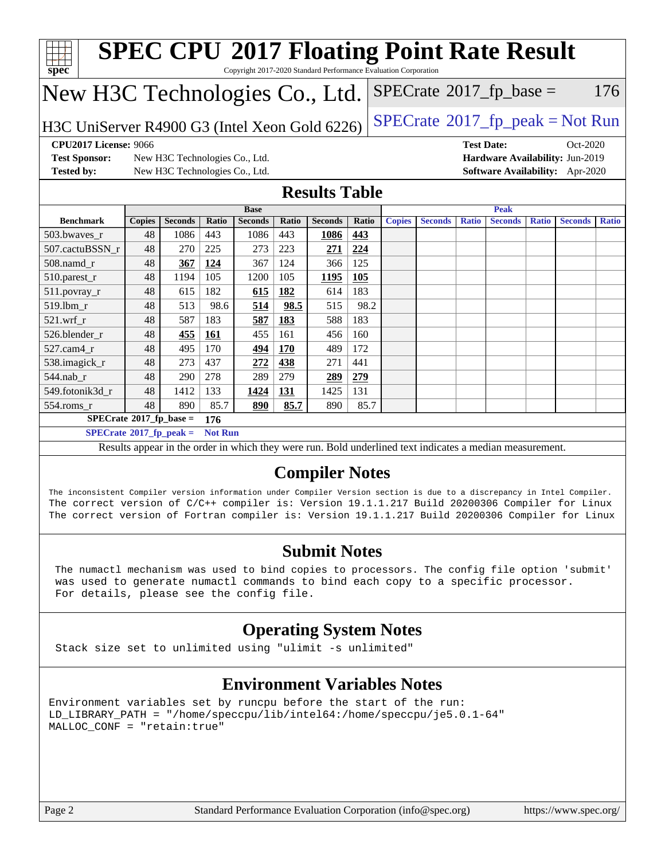| Spec                                                                                                                                                                                                                                                                                                                          |               |                                |                |                |       |                       |       | <b>SPEC CPU®2017 Floating Point Rate Result</b><br>Copyright 2017-2020 Standard Performance Evaluation Corporation |                |                   |                                 |              |                |              |
|-------------------------------------------------------------------------------------------------------------------------------------------------------------------------------------------------------------------------------------------------------------------------------------------------------------------------------|---------------|--------------------------------|----------------|----------------|-------|-----------------------|-------|--------------------------------------------------------------------------------------------------------------------|----------------|-------------------|---------------------------------|--------------|----------------|--------------|
| New H3C Technologies Co., Ltd.                                                                                                                                                                                                                                                                                                |               |                                |                |                |       |                       |       | $SPECTate@2017_fp\_base =$                                                                                         |                |                   |                                 |              |                | 176          |
| H3C UniServer R4900 G3 (Intel Xeon Gold 6226)                                                                                                                                                                                                                                                                                 |               |                                |                |                |       |                       |       | $SPECrate^{\circ}2017$ _fp_peak = Not Run                                                                          |                |                   |                                 |              |                |              |
| <b>CPU2017 License: 9066</b>                                                                                                                                                                                                                                                                                                  |               |                                |                |                |       |                       |       |                                                                                                                    |                | <b>Test Date:</b> |                                 |              | $Oct-2020$     |              |
| <b>Test Sponsor:</b>                                                                                                                                                                                                                                                                                                          |               | New H3C Technologies Co., Ltd. |                |                |       |                       |       |                                                                                                                    |                |                   | Hardware Availability: Jun-2019 |              |                |              |
| <b>Tested by:</b>                                                                                                                                                                                                                                                                                                             |               | New H3C Technologies Co., Ltd. |                |                |       |                       |       |                                                                                                                    |                |                   | Software Availability: Apr-2020 |              |                |              |
|                                                                                                                                                                                                                                                                                                                               |               |                                |                |                |       | <b>Results Table</b>  |       |                                                                                                                    |                |                   |                                 |              |                |              |
|                                                                                                                                                                                                                                                                                                                               |               |                                |                | <b>Base</b>    |       |                       |       |                                                                                                                    |                |                   | <b>Peak</b>                     |              |                |              |
| <b>Benchmark</b>                                                                                                                                                                                                                                                                                                              | <b>Copies</b> | <b>Seconds</b>                 | Ratio          | <b>Seconds</b> | Ratio | <b>Seconds</b>        | Ratio | <b>Copies</b>                                                                                                      | <b>Seconds</b> | <b>Ratio</b>      | <b>Seconds</b>                  | <b>Ratio</b> | <b>Seconds</b> | <b>Ratio</b> |
| 503.bwaves r                                                                                                                                                                                                                                                                                                                  | 48            | 1086                           | 443            | 1086           | 443   | 1086                  | 443   |                                                                                                                    |                |                   |                                 |              |                |              |
| 507.cactuBSSN_r                                                                                                                                                                                                                                                                                                               | 48            | 270                            | 225            | 273            | 223   | 271                   | 224   |                                                                                                                    |                |                   |                                 |              |                |              |
| 508.namd r                                                                                                                                                                                                                                                                                                                    | 48            | 367                            | 124            | 367            | 124   | 366                   | 125   |                                                                                                                    |                |                   |                                 |              |                |              |
| 510.parest_r                                                                                                                                                                                                                                                                                                                  | 48            | 1194                           | 105            | 1200           | 105   | 1195                  | 105   |                                                                                                                    |                |                   |                                 |              |                |              |
| 511.povray_r                                                                                                                                                                                                                                                                                                                  | 48            | 615                            | 182            | 615            | 182   | 614                   | 183   |                                                                                                                    |                |                   |                                 |              |                |              |
| 519.lbm r                                                                                                                                                                                                                                                                                                                     | 48            | 513                            | 98.6           | 514            | 98.5  | 515                   | 98.2  |                                                                                                                    |                |                   |                                 |              |                |              |
| $521.wrf_r$                                                                                                                                                                                                                                                                                                                   | 48            | 587                            | 183            | 587            | 183   | 588                   | 183   |                                                                                                                    |                |                   |                                 |              |                |              |
| 526.blender_r                                                                                                                                                                                                                                                                                                                 | 48            | 455                            | 161            | 455            | 161   | 456                   | 160   |                                                                                                                    |                |                   |                                 |              |                |              |
| 527.cam4 r                                                                                                                                                                                                                                                                                                                    | 48            | 495                            | 170            | 494            | 170   | 489                   | 172   |                                                                                                                    |                |                   |                                 |              |                |              |
| 538.imagick_r                                                                                                                                                                                                                                                                                                                 | 48            | 273                            | 437            | 272            | 438   | 271                   | 441   |                                                                                                                    |                |                   |                                 |              |                |              |
| 544.nab r                                                                                                                                                                                                                                                                                                                     | 48            | 290                            | 278            | 289            | 279   | 289                   | 279   |                                                                                                                    |                |                   |                                 |              |                |              |
| 549.fotonik3d_r                                                                                                                                                                                                                                                                                                               | 48            | 1412                           | 133            | 1424           | 131   | 1425                  | 131   |                                                                                                                    |                |                   |                                 |              |                |              |
| $554$ .roms_r                                                                                                                                                                                                                                                                                                                 | 48            | 890                            | 85.7           | 890            | 85.7  | 890                   | 85.7  |                                                                                                                    |                |                   |                                 |              |                |              |
| $SPECrate^*2017_fp\_base =$                                                                                                                                                                                                                                                                                                   |               |                                | 176            |                |       |                       |       |                                                                                                                    |                |                   |                                 |              |                |              |
| $SPECrate^{\circ}2017_fp\_peak =$                                                                                                                                                                                                                                                                                             |               |                                | <b>Not Run</b> |                |       |                       |       |                                                                                                                    |                |                   |                                 |              |                |              |
|                                                                                                                                                                                                                                                                                                                               |               |                                |                |                |       |                       |       | Results appear in the order in which they were run. Bold underlined text indicates a median measurement.           |                |                   |                                 |              |                |              |
|                                                                                                                                                                                                                                                                                                                               |               |                                |                |                |       | <b>Compiler Notes</b> |       |                                                                                                                    |                |                   |                                 |              |                |              |
| The inconsistent Compiler version information under Compiler Version section is due to a discrepancy in Intel Compiler.<br>The correct version of C/C++ compiler is: Version 19.1.1.217 Build 20200306 Compiler for Linux<br>The correct version of Fortran compiler is: Version 19.1.1.217 Build 20200306 Compiler for Linux |               |                                |                |                |       |                       |       |                                                                                                                    |                |                   |                                 |              |                |              |

#### **[Submit Notes](http://www.spec.org/auto/cpu2017/Docs/result-fields.html#SubmitNotes)**

 The numactl mechanism was used to bind copies to processors. The config file option 'submit' was used to generate numactl commands to bind each copy to a specific processor. For details, please see the config file.

#### **[Operating System Notes](http://www.spec.org/auto/cpu2017/Docs/result-fields.html#OperatingSystemNotes)**

Stack size set to unlimited using "ulimit -s unlimited"

#### **[Environment Variables Notes](http://www.spec.org/auto/cpu2017/Docs/result-fields.html#EnvironmentVariablesNotes)**

Environment variables set by runcpu before the start of the run: LD\_LIBRARY\_PATH = "/home/speccpu/lib/intel64:/home/speccpu/je5.0.1-64" MALLOC\_CONF = "retain:true"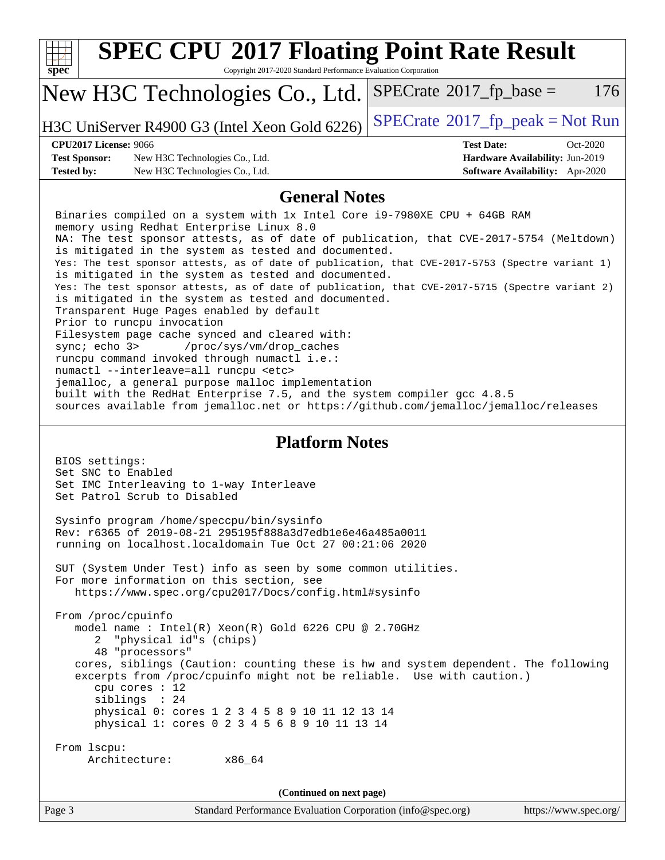| <b>SPEC CPU®2017 Floating Point Rate Result</b><br>Copyright 2017-2020 Standard Performance Evaluation Corporation<br>$spec^*$                                                                                                                                                                                                                                                                                                                                                                                                                                                                                                                                                                                                                                                                                                                                                                                                                                                                                                                                                                      |                                                                                                     |
|-----------------------------------------------------------------------------------------------------------------------------------------------------------------------------------------------------------------------------------------------------------------------------------------------------------------------------------------------------------------------------------------------------------------------------------------------------------------------------------------------------------------------------------------------------------------------------------------------------------------------------------------------------------------------------------------------------------------------------------------------------------------------------------------------------------------------------------------------------------------------------------------------------------------------------------------------------------------------------------------------------------------------------------------------------------------------------------------------------|-----------------------------------------------------------------------------------------------------|
| New H3C Technologies Co., Ltd.                                                                                                                                                                                                                                                                                                                                                                                                                                                                                                                                                                                                                                                                                                                                                                                                                                                                                                                                                                                                                                                                      | $SPECrate^{\circ}2017$ fp base =<br>176                                                             |
| H3C UniServer R4900 G3 (Intel Xeon Gold 6226)                                                                                                                                                                                                                                                                                                                                                                                                                                                                                                                                                                                                                                                                                                                                                                                                                                                                                                                                                                                                                                                       | $SPECrate^{\circ}2017$ [p_peak = Not Run                                                            |
| <b>CPU2017 License: 9066</b><br><b>Test Sponsor:</b><br>New H3C Technologies Co., Ltd.<br><b>Tested by:</b><br>New H3C Technologies Co., Ltd.                                                                                                                                                                                                                                                                                                                                                                                                                                                                                                                                                                                                                                                                                                                                                                                                                                                                                                                                                       | <b>Test Date:</b><br>Oct-2020<br>Hardware Availability: Jun-2019<br>Software Availability: Apr-2020 |
| <b>General Notes</b>                                                                                                                                                                                                                                                                                                                                                                                                                                                                                                                                                                                                                                                                                                                                                                                                                                                                                                                                                                                                                                                                                |                                                                                                     |
| Binaries compiled on a system with 1x Intel Core i9-7980XE CPU + 64GB RAM<br>memory using Redhat Enterprise Linux 8.0<br>NA: The test sponsor attests, as of date of publication, that CVE-2017-5754 (Meltdown)<br>is mitigated in the system as tested and documented.<br>Yes: The test sponsor attests, as of date of publication, that CVE-2017-5753 (Spectre variant 1)<br>is mitigated in the system as tested and documented.<br>Yes: The test sponsor attests, as of date of publication, that CVE-2017-5715 (Spectre variant 2)<br>is mitigated in the system as tested and documented.<br>Transparent Huge Pages enabled by default<br>Prior to runcpu invocation<br>Filesystem page cache synced and cleared with:<br>/proc/sys/vm/drop_caches<br>sync; echo 3><br>runcpu command invoked through numactl i.e.:<br>numactl --interleave=all runcpu <etc><br/>jemalloc, a general purpose malloc implementation<br/>built with the RedHat Enterprise 7.5, and the system compiler gcc 4.8.5<br/>sources available from jemalloc.net or https://github.com/jemalloc/jemalloc/releases</etc> |                                                                                                     |
| <b>Platform Notes</b><br>BIOS settings:<br>Set SNC to Enabled<br>Set IMC Interleaving to 1-way Interleave<br>Set Patrol Scrub to Disabled                                                                                                                                                                                                                                                                                                                                                                                                                                                                                                                                                                                                                                                                                                                                                                                                                                                                                                                                                           |                                                                                                     |
| Sysinfo program /home/speccpu/bin/sysinfo<br>Rev: r6365 of 2019-08-21 295195f888a3d7edble6e46a485a0011<br>running on localhost.localdomain Tue Oct 27 00:21:06 2020                                                                                                                                                                                                                                                                                                                                                                                                                                                                                                                                                                                                                                                                                                                                                                                                                                                                                                                                 |                                                                                                     |
| SUT (System Under Test) info as seen by some common utilities.<br>For more information on this section, see<br>https://www.spec.org/cpu2017/Docs/config.html#sysinfo                                                                                                                                                                                                                                                                                                                                                                                                                                                                                                                                                                                                                                                                                                                                                                                                                                                                                                                                |                                                                                                     |
| From /proc/cpuinfo<br>model name : Intel(R) Xeon(R) Gold 6226 CPU @ 2.70GHz<br>"physical id"s (chips)<br>2<br>48 "processors"<br>cores, siblings (Caution: counting these is hw and system dependent. The following<br>excerpts from /proc/cpuinfo might not be reliable. Use with caution.)<br>cpu cores : 12<br>siblings : 24<br>physical 0: cores 1 2 3 4 5 8 9 10 11 12 13 14<br>physical 1: cores 0 2 3 4 5 6 8 9 10 11 13 14                                                                                                                                                                                                                                                                                                                                                                                                                                                                                                                                                                                                                                                                  |                                                                                                     |
| From 1scpu:<br>Architecture:<br>x86_64                                                                                                                                                                                                                                                                                                                                                                                                                                                                                                                                                                                                                                                                                                                                                                                                                                                                                                                                                                                                                                                              |                                                                                                     |
| (Continued on next page)                                                                                                                                                                                                                                                                                                                                                                                                                                                                                                                                                                                                                                                                                                                                                                                                                                                                                                                                                                                                                                                                            |                                                                                                     |
| Standard Performance Evaluation Corporation (info@spec.org)<br>Page 3                                                                                                                                                                                                                                                                                                                                                                                                                                                                                                                                                                                                                                                                                                                                                                                                                                                                                                                                                                                                                               | https://www.spec.org/                                                                               |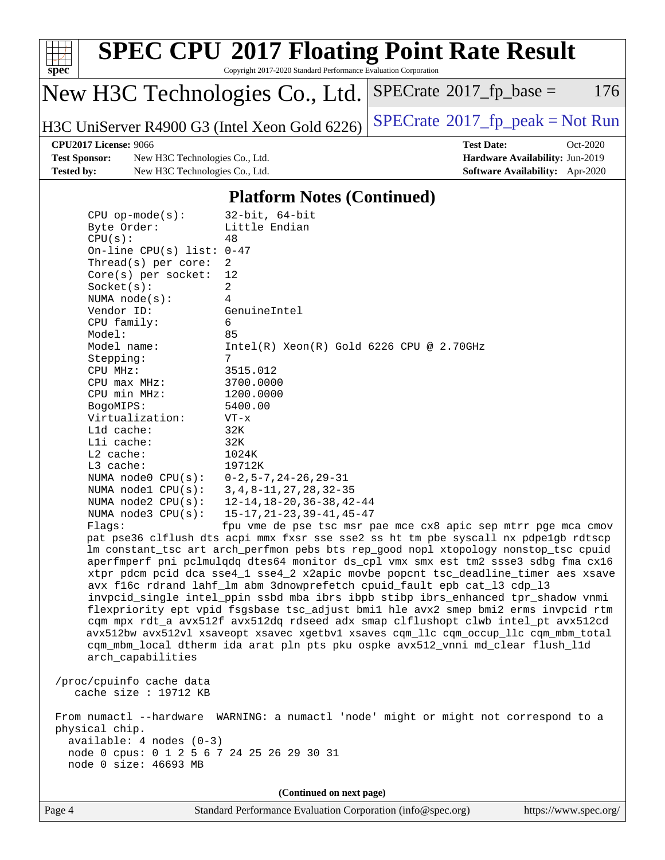

Copyright 2017-2020 Standard Performance Evaluation Corporation

## New H3C Technologies Co., Ltd.

H3C UniServer R4900 G3 (Intel Xeon Gold 6226) [SPECrate](http://www.spec.org/auto/cpu2017/Docs/result-fields.html#SPECrate2017fppeak)®[2017\\_fp\\_peak = N](http://www.spec.org/auto/cpu2017/Docs/result-fields.html#SPECrate2017fppeak)ot Run

 $SPECTate@2017_fp\_base = 176$ 

**[Test Sponsor:](http://www.spec.org/auto/cpu2017/Docs/result-fields.html#TestSponsor)** New H3C Technologies Co., Ltd. **[Hardware Availability:](http://www.spec.org/auto/cpu2017/Docs/result-fields.html#HardwareAvailability)** Jun-2019 **[Tested by:](http://www.spec.org/auto/cpu2017/Docs/result-fields.html#Testedby)** New H3C Technologies Co., Ltd. **[Software Availability:](http://www.spec.org/auto/cpu2017/Docs/result-fields.html#SoftwareAvailability)** Apr-2020

**[CPU2017 License:](http://www.spec.org/auto/cpu2017/Docs/result-fields.html#CPU2017License)** 9066 **[Test Date:](http://www.spec.org/auto/cpu2017/Docs/result-fields.html#TestDate)** Oct-2020

#### **[Platform Notes \(Continued\)](http://www.spec.org/auto/cpu2017/Docs/result-fields.html#PlatformNotes)**

| $CPU$ op-mode( $s$ ):<br>Byte Order:<br>CPU(s):<br>On-line CPU(s) list: $0-47$<br>Thread(s) per core:<br>Core(s) per socket:<br>Socket(s):<br>NUMA $node(s):$<br>Vendor ID:<br>CPU family:<br>Model:<br>Model name:<br>Stepping:<br>CPU MHz:<br>CPU max MHz:<br>CPU min MHz:<br>BogoMIPS: | $32$ -bit, $64$ -bit<br>Little Endian<br>48<br>2<br>12<br>$\overline{a}$<br>4<br>GenuineIntel<br>6<br>85<br>$Intel(R)$ Xeon $(R)$ Gold 6226 CPU @ 2.70GHz<br>7<br>3515.012<br>3700.0000<br>1200.0000<br>5400.00                                                                                                                                                                                                                                                                                                                                                                                                                                                                                                                                                                                                                                                                                                                           |
|-------------------------------------------------------------------------------------------------------------------------------------------------------------------------------------------------------------------------------------------------------------------------------------------|-------------------------------------------------------------------------------------------------------------------------------------------------------------------------------------------------------------------------------------------------------------------------------------------------------------------------------------------------------------------------------------------------------------------------------------------------------------------------------------------------------------------------------------------------------------------------------------------------------------------------------------------------------------------------------------------------------------------------------------------------------------------------------------------------------------------------------------------------------------------------------------------------------------------------------------------|
| Virtualization:                                                                                                                                                                                                                                                                           | $VT - x$                                                                                                                                                                                                                                                                                                                                                                                                                                                                                                                                                                                                                                                                                                                                                                                                                                                                                                                                  |
| L1d cache:                                                                                                                                                                                                                                                                                | 32K                                                                                                                                                                                                                                                                                                                                                                                                                                                                                                                                                                                                                                                                                                                                                                                                                                                                                                                                       |
| Lli cache:                                                                                                                                                                                                                                                                                | 32K                                                                                                                                                                                                                                                                                                                                                                                                                                                                                                                                                                                                                                                                                                                                                                                                                                                                                                                                       |
| L2 cache:                                                                                                                                                                                                                                                                                 | 1024K                                                                                                                                                                                                                                                                                                                                                                                                                                                                                                                                                                                                                                                                                                                                                                                                                                                                                                                                     |
| L3 cache:                                                                                                                                                                                                                                                                                 | 19712K                                                                                                                                                                                                                                                                                                                                                                                                                                                                                                                                                                                                                                                                                                                                                                                                                                                                                                                                    |
| NUMA node0 CPU(s):<br>NUMA $node1$ $CPU(s):$                                                                                                                                                                                                                                              | $0-2, 5-7, 24-26, 29-31$<br>$3, 4, 8 - 11, 27, 28, 32 - 35$                                                                                                                                                                                                                                                                                                                                                                                                                                                                                                                                                                                                                                                                                                                                                                                                                                                                               |
| NUMA $node2$ $CPU(s):$                                                                                                                                                                                                                                                                    | 12-14, 18-20, 36-38, 42-44                                                                                                                                                                                                                                                                                                                                                                                                                                                                                                                                                                                                                                                                                                                                                                                                                                                                                                                |
| NUMA node3 CPU(s):                                                                                                                                                                                                                                                                        | $15 - 17, 21 - 23, 39 - 41, 45 - 47$                                                                                                                                                                                                                                                                                                                                                                                                                                                                                                                                                                                                                                                                                                                                                                                                                                                                                                      |
| Flagg:<br>arch_capabilities                                                                                                                                                                                                                                                               | fpu vme de pse tsc msr pae mce cx8 apic sep mtrr pge mca cmov<br>pat pse36 clflush dts acpi mmx fxsr sse sse2 ss ht tm pbe syscall nx pdpelgb rdtscp<br>lm constant_tsc art arch_perfmon pebs bts rep_good nopl xtopology nonstop_tsc cpuid<br>aperfmperf pni pclmulqdq dtes64 monitor ds_cpl vmx smx est tm2 ssse3 sdbg fma cx16<br>xtpr pdcm pcid dca sse4_1 sse4_2 x2apic movbe popcnt tsc_deadline_timer aes xsave<br>avx f16c rdrand lahf_lm abm 3dnowprefetch cpuid_fault epb cat_13 cdp_13<br>invpcid_single intel_ppin ssbd mba ibrs ibpb stibp ibrs_enhanced tpr_shadow vnmi<br>flexpriority ept vpid fsgsbase tsc_adjust bmil hle avx2 smep bmi2 erms invpcid rtm<br>cqm mpx rdt_a avx512f avx512dq rdseed adx smap clflushopt clwb intel_pt avx512cd<br>avx512bw avx512vl xsaveopt xsavec xgetbvl xsaves cqm_llc cqm_occup_llc cqm_mbm_total<br>cqm_mbm_local dtherm ida arat pln pts pku ospke avx512_vnni md_clear flush_11d |
| /proc/cpuinfo cache data<br>cache size : 19712 KB                                                                                                                                                                                                                                         |                                                                                                                                                                                                                                                                                                                                                                                                                                                                                                                                                                                                                                                                                                                                                                                                                                                                                                                                           |
| physical chip.<br>$available: 4 nodes (0-3)$<br>node 0 cpus: 0 1 2 5 6 7 24 25 26 29 30 31<br>node 0 size: 46693 MB                                                                                                                                                                       | From numactl --hardware WARNING: a numactl 'node' might or might not correspond to a                                                                                                                                                                                                                                                                                                                                                                                                                                                                                                                                                                                                                                                                                                                                                                                                                                                      |
|                                                                                                                                                                                                                                                                                           | (Continued on next page)                                                                                                                                                                                                                                                                                                                                                                                                                                                                                                                                                                                                                                                                                                                                                                                                                                                                                                                  |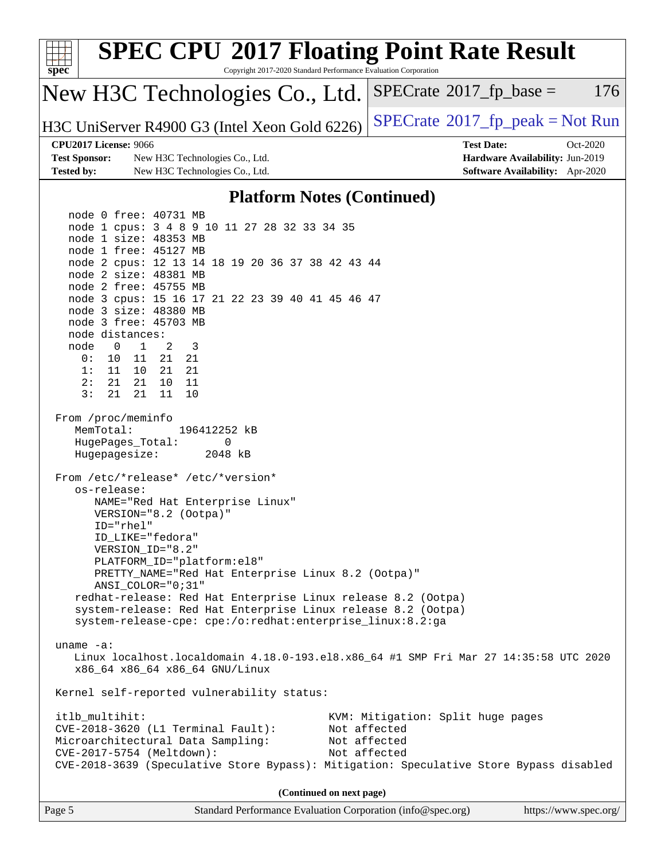| <b>SPEC CPU®2017 Floating Point Rate Result</b><br>spec<br>Copyright 2017-2020 Standard Performance Evaluation Corporation                                                                                                                                                                                                                                                                                                                                                                                                                                                                   |                                                                                                     |
|----------------------------------------------------------------------------------------------------------------------------------------------------------------------------------------------------------------------------------------------------------------------------------------------------------------------------------------------------------------------------------------------------------------------------------------------------------------------------------------------------------------------------------------------------------------------------------------------|-----------------------------------------------------------------------------------------------------|
| New H3C Technologies Co., Ltd.                                                                                                                                                                                                                                                                                                                                                                                                                                                                                                                                                               | 176<br>$SPECrate^{\circ}2017$ _fp_base =                                                            |
| H3C UniServer R4900 G3 (Intel Xeon Gold 6226)                                                                                                                                                                                                                                                                                                                                                                                                                                                                                                                                                | $SPECrate^{\circ}2017$ _fp_peak = Not Run                                                           |
| <b>CPU2017 License: 9066</b><br><b>Test Sponsor:</b><br>New H3C Technologies Co., Ltd.<br><b>Tested by:</b><br>New H3C Technologies Co., Ltd.                                                                                                                                                                                                                                                                                                                                                                                                                                                | <b>Test Date:</b><br>Oct-2020<br>Hardware Availability: Jun-2019<br>Software Availability: Apr-2020 |
| <b>Platform Notes (Continued)</b>                                                                                                                                                                                                                                                                                                                                                                                                                                                                                                                                                            |                                                                                                     |
| node 0 free: 40731 MB<br>node 1 cpus: 3 4 8 9 10 11 27 28 32 33 34 35<br>node 1 size: 48353 MB<br>node 1 free: 45127 MB<br>node 2 cpus: 12 13 14 18 19 20 36 37 38 42 43 44<br>node 2 size: 48381 MB<br>node 2 free: 45755 MB<br>node 3 cpus: 15 16 17 21 22 23 39 40 41 45 46 47<br>node 3 size: 48380 MB<br>node 3 free: 45703 MB<br>node distances:<br>node<br>$\overline{1}$<br>2<br>3<br>$\overline{0}$<br>21 21<br>0:<br>10 11<br>1:<br>11 10 21 21<br>2:<br>21  21<br>10 11<br>3:<br>21<br>21<br>11<br>10<br>From /proc/meminfo<br>MemTotal:<br>196412252 kB<br>HugePages_Total:<br>0 |                                                                                                     |
| Hugepagesize:<br>2048 kB<br>From /etc/*release* /etc/*version*<br>os-release:<br>NAME="Red Hat Enterprise Linux"<br>VERSION="8.2 (Ootpa)"<br>ID="rhel"<br>ID LIKE="fedora"<br>VERSION_ID="8.2"<br>PLATFORM_ID="platform:el8"<br>PRETTY_NAME="Red Hat Enterprise Linux 8.2 (Ootpa)"<br>ANSI COLOR="0;31"<br>redhat-release: Red Hat Enterprise Linux release 8.2 (Ootpa)<br>system-release: Red Hat Enterprise Linux release 8.2 (Ootpa)<br>system-release-cpe: cpe:/o:redhat:enterprise_linux:8.2:ga                                                                                         |                                                                                                     |
| $uname -a$ :<br>Linux localhost.localdomain 4.18.0-193.el8.x86_64 #1 SMP Fri Mar 27 14:35:58 UTC 2020<br>x86_64 x86_64 x86_64 GNU/Linux                                                                                                                                                                                                                                                                                                                                                                                                                                                      |                                                                                                     |
| Kernel self-reported vulnerability status:                                                                                                                                                                                                                                                                                                                                                                                                                                                                                                                                                   |                                                                                                     |
| itlb_multihit:<br>$CVE-2018-3620$ (L1 Terminal Fault):<br>Microarchitectural Data Sampling:<br>CVE-2017-5754 (Meltdown):<br>CVE-2018-3639 (Speculative Store Bypass): Mitigation: Speculative Store Bypass disabled                                                                                                                                                                                                                                                                                                                                                                          | KVM: Mitigation: Split huge pages<br>Not affected<br>Not affected<br>Not affected                   |
| (Continued on next page)                                                                                                                                                                                                                                                                                                                                                                                                                                                                                                                                                                     |                                                                                                     |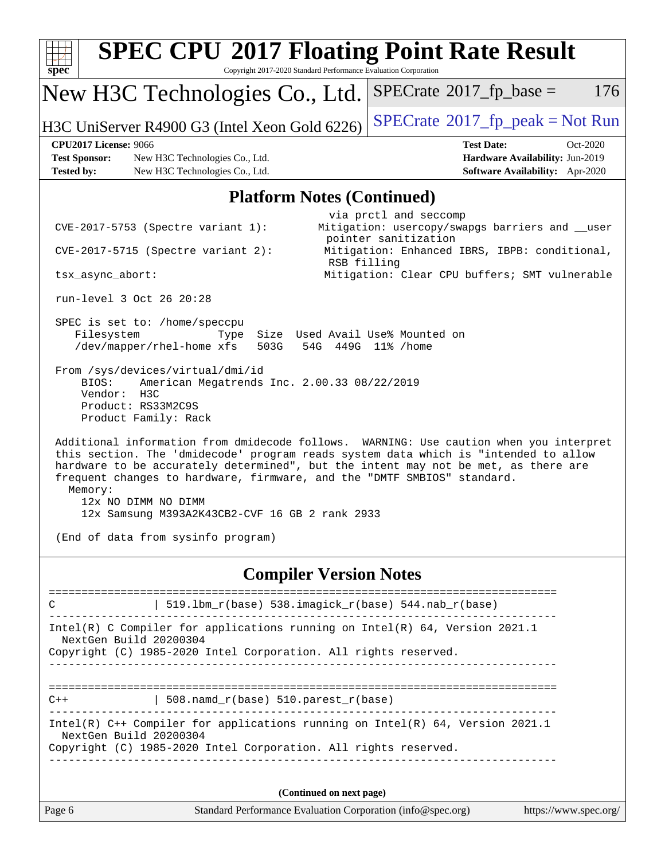| <b>SPEC CPU®2017 Floating Point Rate Result</b><br>Copyright 2017-2020 Standard Performance Evaluation Corporation<br>spec <sup>®</sup>                                                                                                                                                                                                                                                                                                                                                                                                                                                                                                                                                                                                                                                                                                                                                                                 |                                                                                                                                                                                                                      |
|-------------------------------------------------------------------------------------------------------------------------------------------------------------------------------------------------------------------------------------------------------------------------------------------------------------------------------------------------------------------------------------------------------------------------------------------------------------------------------------------------------------------------------------------------------------------------------------------------------------------------------------------------------------------------------------------------------------------------------------------------------------------------------------------------------------------------------------------------------------------------------------------------------------------------|----------------------------------------------------------------------------------------------------------------------------------------------------------------------------------------------------------------------|
| New H3C Technologies Co., Ltd.                                                                                                                                                                                                                                                                                                                                                                                                                                                                                                                                                                                                                                                                                                                                                                                                                                                                                          | $SPECrate^{\circ}2017$ fp base =<br>176                                                                                                                                                                              |
| H3C UniServer R4900 G3 (Intel Xeon Gold 6226)                                                                                                                                                                                                                                                                                                                                                                                                                                                                                                                                                                                                                                                                                                                                                                                                                                                                           | $SPECrate^{\circ}2017$ _fp_peak = Not Run                                                                                                                                                                            |
| <b>CPU2017 License: 9066</b><br><b>Test Sponsor:</b><br>New H3C Technologies Co., Ltd.<br><b>Tested by:</b><br>New H3C Technologies Co., Ltd.                                                                                                                                                                                                                                                                                                                                                                                                                                                                                                                                                                                                                                                                                                                                                                           | <b>Test Date:</b><br>$Oct-2020$<br>Hardware Availability: Jun-2019<br>Software Availability: Apr-2020                                                                                                                |
| <b>Platform Notes (Continued)</b>                                                                                                                                                                                                                                                                                                                                                                                                                                                                                                                                                                                                                                                                                                                                                                                                                                                                                       |                                                                                                                                                                                                                      |
| $CVE-2017-5753$ (Spectre variant 1):<br>CVE-2017-5715 (Spectre variant 2):<br>RSB filling<br>tsx_async_abort:<br>run-level 3 Oct 26 20:28<br>SPEC is set to: /home/speccpu<br>Filesystem<br>Size Used Avail Use% Mounted on<br>Type<br>/dev/mapper/rhel-home xfs<br>503G<br>54G<br>From /sys/devices/virtual/dmi/id<br>BIOS:<br>American Megatrends Inc. 2.00.33 08/22/2019<br>Vendor:<br>H3C<br>Product: RS33M2C9S<br>Product Family: Rack<br>Additional information from dmidecode follows. WARNING: Use caution when you interpret<br>this section. The 'dmidecode' program reads system data which is "intended to allow<br>hardware to be accurately determined", but the intent may not be met, as there are<br>frequent changes to hardware, firmware, and the "DMTF SMBIOS" standard.<br>Memory:<br>12x NO DIMM NO DIMM<br>12x Samsung M393A2K43CB2-CVF 16 GB 2 rank 2933<br>(End of data from sysinfo program) | via prctl and seccomp<br>Mitigation: usercopy/swapgs barriers and __user<br>pointer sanitization<br>Mitigation: Enhanced IBRS, IBPB: conditional,<br>Mitigation: Clear CPU buffers; SMT vulnerable<br>449G 11% /home |
| <b>Compiler Version Notes</b>                                                                                                                                                                                                                                                                                                                                                                                                                                                                                                                                                                                                                                                                                                                                                                                                                                                                                           |                                                                                                                                                                                                                      |
| 519.1bm_r(base) 538.imagick_r(base) 544.nab_r(base)<br>С                                                                                                                                                                                                                                                                                                                                                                                                                                                                                                                                                                                                                                                                                                                                                                                                                                                                |                                                                                                                                                                                                                      |
| Intel(R) C Compiler for applications running on Intel(R) 64, Version 2021.1<br>NextGen Build 20200304<br>Copyright (C) 1985-2020 Intel Corporation. All rights reserved.                                                                                                                                                                                                                                                                                                                                                                                                                                                                                                                                                                                                                                                                                                                                                |                                                                                                                                                                                                                      |
| $\vert$ 508.namd_r(base) 510.parest_r(base)<br>$C++$<br>----------------------<br>Intel(R) C++ Compiler for applications running on Intel(R) 64, Version 2021.1<br>NextGen Build 20200304<br>Copyright (C) 1985-2020 Intel Corporation. All rights reserved.                                                                                                                                                                                                                                                                                                                                                                                                                                                                                                                                                                                                                                                            |                                                                                                                                                                                                                      |
| (Continued on next page)                                                                                                                                                                                                                                                                                                                                                                                                                                                                                                                                                                                                                                                                                                                                                                                                                                                                                                |                                                                                                                                                                                                                      |
| Page 6<br>Standard Performance Evaluation Corporation (info@spec.org)                                                                                                                                                                                                                                                                                                                                                                                                                                                                                                                                                                                                                                                                                                                                                                                                                                                   | https://www.spec.org/                                                                                                                                                                                                |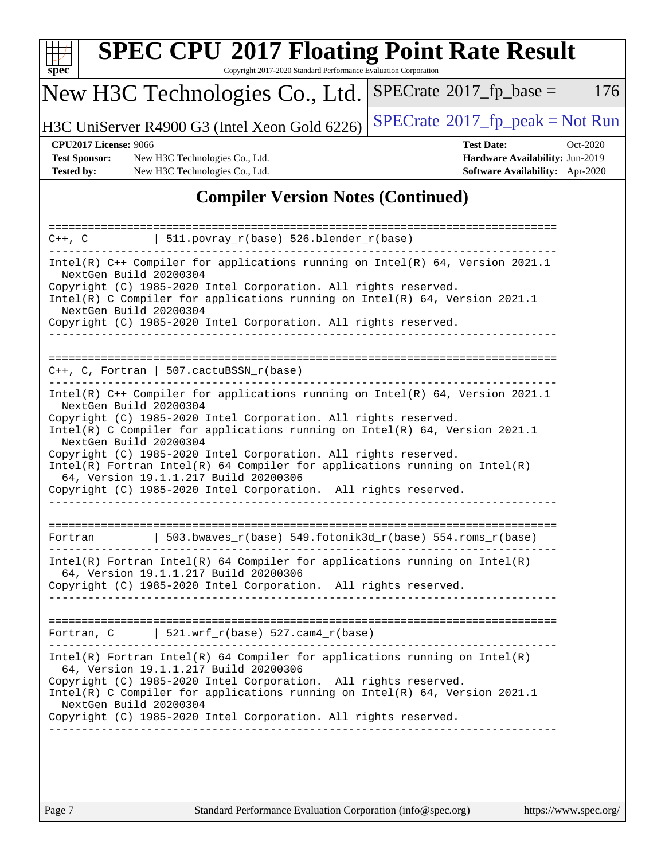| S | Dе | U |  |
|---|----|---|--|

Copyright 2017-2020 Standard Performance Evaluation Corporation

### New H3C Technologies Co., Ltd.

H3C UniServer R4900 G3 (Intel Xeon Gold 6226) [SPECrate](http://www.spec.org/auto/cpu2017/Docs/result-fields.html#SPECrate2017fppeak)®[2017\\_fp\\_peak = N](http://www.spec.org/auto/cpu2017/Docs/result-fields.html#SPECrate2017fppeak)ot Run

 $SPECTate@2017_fp\_base = 176$ 

**[Test Sponsor:](http://www.spec.org/auto/cpu2017/Docs/result-fields.html#TestSponsor)** New H3C Technologies Co., Ltd. **[Hardware Availability:](http://www.spec.org/auto/cpu2017/Docs/result-fields.html#HardwareAvailability)** Jun-2019 **[Tested by:](http://www.spec.org/auto/cpu2017/Docs/result-fields.html#Testedby)** New H3C Technologies Co., Ltd. **[Software Availability:](http://www.spec.org/auto/cpu2017/Docs/result-fields.html#SoftwareAvailability)** Apr-2020

# **[CPU2017 License:](http://www.spec.org/auto/cpu2017/Docs/result-fields.html#CPU2017License)** 9066 **[Test Date:](http://www.spec.org/auto/cpu2017/Docs/result-fields.html#TestDate)** Oct-2020

#### **[Compiler Version Notes \(Continued\)](http://www.spec.org/auto/cpu2017/Docs/result-fields.html#CompilerVersionNotes)**

| ===================                                                                                                                                                                                                                                                                                                                                                                                                                                                                                                                                   |  |
|-------------------------------------------------------------------------------------------------------------------------------------------------------------------------------------------------------------------------------------------------------------------------------------------------------------------------------------------------------------------------------------------------------------------------------------------------------------------------------------------------------------------------------------------------------|--|
| 511.povray_r(base) 526.blender_r(base)<br>$C++$ , $C$                                                                                                                                                                                                                                                                                                                                                                                                                                                                                                 |  |
| Intel(R) $C++$ Compiler for applications running on Intel(R) 64, Version 2021.1<br>NextGen Build 20200304<br>Copyright (C) 1985-2020 Intel Corporation. All rights reserved.<br>Intel(R) C Compiler for applications running on Intel(R) 64, Version 2021.1<br>NextGen Build 20200304<br>Copyright (C) 1985-2020 Intel Corporation. All rights reserved.                                                                                                                                                                                              |  |
| $C++$ , C, Fortran   507.cactuBSSN_r(base)                                                                                                                                                                                                                                                                                                                                                                                                                                                                                                            |  |
| Intel(R) C++ Compiler for applications running on Intel(R) $64$ , Version 2021.1<br>NextGen Build 20200304<br>Copyright (C) 1985-2020 Intel Corporation. All rights reserved.<br>Intel(R) C Compiler for applications running on Intel(R) 64, Version 2021.1<br>NextGen Build 20200304<br>Copyright (C) 1985-2020 Intel Corporation. All rights reserved.<br>$Intel(R)$ Fortran Intel(R) 64 Compiler for applications running on Intel(R)<br>64, Version 19.1.1.217 Build 20200306<br>Copyright (C) 1985-2020 Intel Corporation. All rights reserved. |  |
| 503.bwaves r(base) 549.fotonik3d r(base) 554.roms r(base)<br>Fortran                                                                                                                                                                                                                                                                                                                                                                                                                                                                                  |  |
| $Intel(R)$ Fortran Intel(R) 64 Compiler for applications running on Intel(R)<br>64, Version 19.1.1.217 Build 20200306<br>Copyright (C) 1985-2020 Intel Corporation. All rights reserved.                                                                                                                                                                                                                                                                                                                                                              |  |
| 521.wrf $r(base)$ 527.cam4 $r(base)$<br>Fortran, C                                                                                                                                                                                                                                                                                                                                                                                                                                                                                                    |  |
| $Intel(R)$ Fortran Intel(R) 64 Compiler for applications running on Intel(R)<br>64, Version 19.1.1.217 Build 20200306<br>Copyright (C) 1985-2020 Intel Corporation. All rights reserved.<br>Intel(R) C Compiler for applications running on Intel(R) 64, Version 2021.1<br>NextGen Build 20200304<br>Copyright (C) 1985-2020 Intel Corporation. All rights reserved.                                                                                                                                                                                  |  |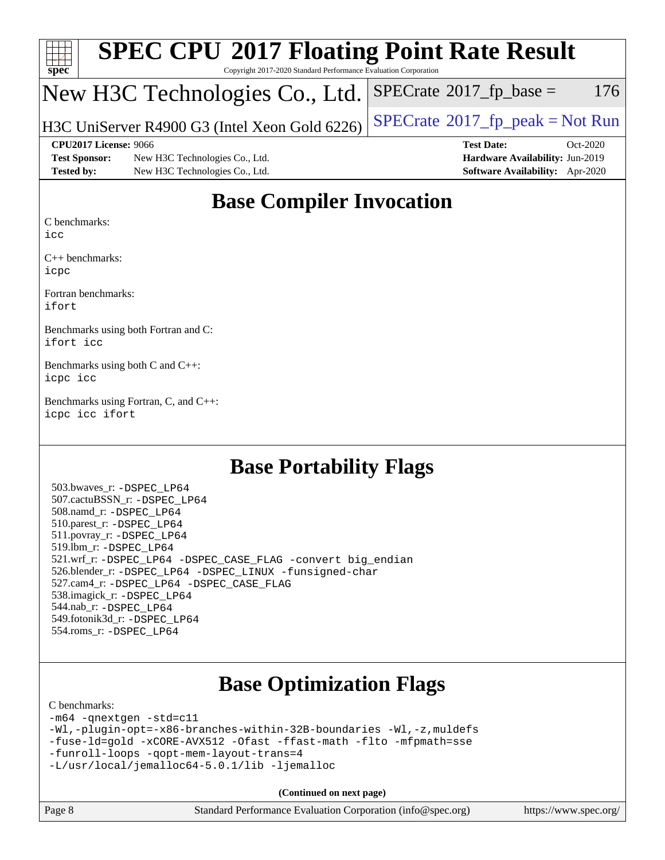| SI | I<br>U | E | J. |  |
|----|--------|---|----|--|

Copyright 2017-2020 Standard Performance Evaluation Corporation

### New H3C Technologies Co., Ltd.

H3C UniServer R4900 G3 (Intel Xeon Gold 6226)  $\left|$  [SPECrate](http://www.spec.org/auto/cpu2017/Docs/result-fields.html#SPECrate2017fppeak)®[2017\\_fp\\_peak = N](http://www.spec.org/auto/cpu2017/Docs/result-fields.html#SPECrate2017fppeak)ot Run

**[Test Sponsor:](http://www.spec.org/auto/cpu2017/Docs/result-fields.html#TestSponsor)** New H3C Technologies Co., Ltd. **[Hardware Availability:](http://www.spec.org/auto/cpu2017/Docs/result-fields.html#HardwareAvailability)** Jun-2019 **[Tested by:](http://www.spec.org/auto/cpu2017/Docs/result-fields.html#Testedby)** New H3C Technologies Co., Ltd. **[Software Availability:](http://www.spec.org/auto/cpu2017/Docs/result-fields.html#SoftwareAvailability)** Apr-2020

**[CPU2017 License:](http://www.spec.org/auto/cpu2017/Docs/result-fields.html#CPU2017License)** 9066 **[Test Date:](http://www.spec.org/auto/cpu2017/Docs/result-fields.html#TestDate)** Oct-2020

 $SPECTate$ <sup>®</sup>[2017\\_fp\\_base =](http://www.spec.org/auto/cpu2017/Docs/result-fields.html#SPECrate2017fpbase) 176

### **[Base Compiler Invocation](http://www.spec.org/auto/cpu2017/Docs/result-fields.html#BaseCompilerInvocation)**

[C benchmarks](http://www.spec.org/auto/cpu2017/Docs/result-fields.html#Cbenchmarks):

[icc](http://www.spec.org/cpu2017/results/res2020q4/cpu2017-20201027-24325.flags.html#user_CCbase_intel_icc_66fc1ee009f7361af1fbd72ca7dcefbb700085f36577c54f309893dd4ec40d12360134090235512931783d35fd58c0460139e722d5067c5574d8eaf2b3e37e92)

[C++ benchmarks:](http://www.spec.org/auto/cpu2017/Docs/result-fields.html#CXXbenchmarks) [icpc](http://www.spec.org/cpu2017/results/res2020q4/cpu2017-20201027-24325.flags.html#user_CXXbase_intel_icpc_c510b6838c7f56d33e37e94d029a35b4a7bccf4766a728ee175e80a419847e808290a9b78be685c44ab727ea267ec2f070ec5dc83b407c0218cded6866a35d07)

[Fortran benchmarks](http://www.spec.org/auto/cpu2017/Docs/result-fields.html#Fortranbenchmarks): [ifort](http://www.spec.org/cpu2017/results/res2020q4/cpu2017-20201027-24325.flags.html#user_FCbase_intel_ifort_8111460550e3ca792625aed983ce982f94888b8b503583aa7ba2b8303487b4d8a21a13e7191a45c5fd58ff318f48f9492884d4413fa793fd88dd292cad7027ca)

[Benchmarks using both Fortran and C](http://www.spec.org/auto/cpu2017/Docs/result-fields.html#BenchmarksusingbothFortranandC): [ifort](http://www.spec.org/cpu2017/results/res2020q4/cpu2017-20201027-24325.flags.html#user_CC_FCbase_intel_ifort_8111460550e3ca792625aed983ce982f94888b8b503583aa7ba2b8303487b4d8a21a13e7191a45c5fd58ff318f48f9492884d4413fa793fd88dd292cad7027ca) [icc](http://www.spec.org/cpu2017/results/res2020q4/cpu2017-20201027-24325.flags.html#user_CC_FCbase_intel_icc_66fc1ee009f7361af1fbd72ca7dcefbb700085f36577c54f309893dd4ec40d12360134090235512931783d35fd58c0460139e722d5067c5574d8eaf2b3e37e92)

[Benchmarks using both C and C++:](http://www.spec.org/auto/cpu2017/Docs/result-fields.html#BenchmarksusingbothCandCXX) [icpc](http://www.spec.org/cpu2017/results/res2020q4/cpu2017-20201027-24325.flags.html#user_CC_CXXbase_intel_icpc_c510b6838c7f56d33e37e94d029a35b4a7bccf4766a728ee175e80a419847e808290a9b78be685c44ab727ea267ec2f070ec5dc83b407c0218cded6866a35d07) [icc](http://www.spec.org/cpu2017/results/res2020q4/cpu2017-20201027-24325.flags.html#user_CC_CXXbase_intel_icc_66fc1ee009f7361af1fbd72ca7dcefbb700085f36577c54f309893dd4ec40d12360134090235512931783d35fd58c0460139e722d5067c5574d8eaf2b3e37e92)

[Benchmarks using Fortran, C, and C++:](http://www.spec.org/auto/cpu2017/Docs/result-fields.html#BenchmarksusingFortranCandCXX) [icpc](http://www.spec.org/cpu2017/results/res2020q4/cpu2017-20201027-24325.flags.html#user_CC_CXX_FCbase_intel_icpc_c510b6838c7f56d33e37e94d029a35b4a7bccf4766a728ee175e80a419847e808290a9b78be685c44ab727ea267ec2f070ec5dc83b407c0218cded6866a35d07) [icc](http://www.spec.org/cpu2017/results/res2020q4/cpu2017-20201027-24325.flags.html#user_CC_CXX_FCbase_intel_icc_66fc1ee009f7361af1fbd72ca7dcefbb700085f36577c54f309893dd4ec40d12360134090235512931783d35fd58c0460139e722d5067c5574d8eaf2b3e37e92) [ifort](http://www.spec.org/cpu2017/results/res2020q4/cpu2017-20201027-24325.flags.html#user_CC_CXX_FCbase_intel_ifort_8111460550e3ca792625aed983ce982f94888b8b503583aa7ba2b8303487b4d8a21a13e7191a45c5fd58ff318f48f9492884d4413fa793fd88dd292cad7027ca)

#### **[Base Portability Flags](http://www.spec.org/auto/cpu2017/Docs/result-fields.html#BasePortabilityFlags)**

 503.bwaves\_r: [-DSPEC\\_LP64](http://www.spec.org/cpu2017/results/res2020q4/cpu2017-20201027-24325.flags.html#suite_basePORTABILITY503_bwaves_r_DSPEC_LP64) 507.cactuBSSN\_r: [-DSPEC\\_LP64](http://www.spec.org/cpu2017/results/res2020q4/cpu2017-20201027-24325.flags.html#suite_basePORTABILITY507_cactuBSSN_r_DSPEC_LP64) 508.namd\_r: [-DSPEC\\_LP64](http://www.spec.org/cpu2017/results/res2020q4/cpu2017-20201027-24325.flags.html#suite_basePORTABILITY508_namd_r_DSPEC_LP64) 510.parest\_r: [-DSPEC\\_LP64](http://www.spec.org/cpu2017/results/res2020q4/cpu2017-20201027-24325.flags.html#suite_basePORTABILITY510_parest_r_DSPEC_LP64) 511.povray\_r: [-DSPEC\\_LP64](http://www.spec.org/cpu2017/results/res2020q4/cpu2017-20201027-24325.flags.html#suite_basePORTABILITY511_povray_r_DSPEC_LP64) 519.lbm\_r: [-DSPEC\\_LP64](http://www.spec.org/cpu2017/results/res2020q4/cpu2017-20201027-24325.flags.html#suite_basePORTABILITY519_lbm_r_DSPEC_LP64) 521.wrf\_r: [-DSPEC\\_LP64](http://www.spec.org/cpu2017/results/res2020q4/cpu2017-20201027-24325.flags.html#suite_basePORTABILITY521_wrf_r_DSPEC_LP64) [-DSPEC\\_CASE\\_FLAG](http://www.spec.org/cpu2017/results/res2020q4/cpu2017-20201027-24325.flags.html#b521.wrf_r_baseCPORTABILITY_DSPEC_CASE_FLAG) [-convert big\\_endian](http://www.spec.org/cpu2017/results/res2020q4/cpu2017-20201027-24325.flags.html#user_baseFPORTABILITY521_wrf_r_convert_big_endian_c3194028bc08c63ac5d04de18c48ce6d347e4e562e8892b8bdbdc0214820426deb8554edfa529a3fb25a586e65a3d812c835984020483e7e73212c4d31a38223) 526.blender\_r: [-DSPEC\\_LP64](http://www.spec.org/cpu2017/results/res2020q4/cpu2017-20201027-24325.flags.html#suite_basePORTABILITY526_blender_r_DSPEC_LP64) [-DSPEC\\_LINUX](http://www.spec.org/cpu2017/results/res2020q4/cpu2017-20201027-24325.flags.html#b526.blender_r_baseCPORTABILITY_DSPEC_LINUX) [-funsigned-char](http://www.spec.org/cpu2017/results/res2020q4/cpu2017-20201027-24325.flags.html#user_baseCPORTABILITY526_blender_r_force_uchar_40c60f00ab013830e2dd6774aeded3ff59883ba5a1fc5fc14077f794d777847726e2a5858cbc7672e36e1b067e7e5c1d9a74f7176df07886a243d7cc18edfe67) 527.cam4\_r: [-DSPEC\\_LP64](http://www.spec.org/cpu2017/results/res2020q4/cpu2017-20201027-24325.flags.html#suite_basePORTABILITY527_cam4_r_DSPEC_LP64) [-DSPEC\\_CASE\\_FLAG](http://www.spec.org/cpu2017/results/res2020q4/cpu2017-20201027-24325.flags.html#b527.cam4_r_baseCPORTABILITY_DSPEC_CASE_FLAG) 538.imagick\_r: [-DSPEC\\_LP64](http://www.spec.org/cpu2017/results/res2020q4/cpu2017-20201027-24325.flags.html#suite_basePORTABILITY538_imagick_r_DSPEC_LP64) 544.nab\_r: [-DSPEC\\_LP64](http://www.spec.org/cpu2017/results/res2020q4/cpu2017-20201027-24325.flags.html#suite_basePORTABILITY544_nab_r_DSPEC_LP64) 549.fotonik3d\_r: [-DSPEC\\_LP64](http://www.spec.org/cpu2017/results/res2020q4/cpu2017-20201027-24325.flags.html#suite_basePORTABILITY549_fotonik3d_r_DSPEC_LP64) 554.roms\_r: [-DSPEC\\_LP64](http://www.spec.org/cpu2017/results/res2020q4/cpu2017-20201027-24325.flags.html#suite_basePORTABILITY554_roms_r_DSPEC_LP64)

## **[Base Optimization Flags](http://www.spec.org/auto/cpu2017/Docs/result-fields.html#BaseOptimizationFlags)**

#### [C benchmarks](http://www.spec.org/auto/cpu2017/Docs/result-fields.html#Cbenchmarks):

[-m64](http://www.spec.org/cpu2017/results/res2020q4/cpu2017-20201027-24325.flags.html#user_CCbase_m64-icc) [-qnextgen](http://www.spec.org/cpu2017/results/res2020q4/cpu2017-20201027-24325.flags.html#user_CCbase_f-qnextgen) [-std=c11](http://www.spec.org/cpu2017/results/res2020q4/cpu2017-20201027-24325.flags.html#user_CCbase_std-icc-std_0e1c27790398a4642dfca32ffe6c27b5796f9c2d2676156f2e42c9c44eaad0c049b1cdb667a270c34d979996257aeb8fc440bfb01818dbc9357bd9d174cb8524) [-Wl,-plugin-opt=-x86-branches-within-32B-boundaries](http://www.spec.org/cpu2017/results/res2020q4/cpu2017-20201027-24325.flags.html#user_CCbase_f-x86-branches-within-32B-boundaries_0098b4e4317ae60947b7b728078a624952a08ac37a3c797dfb4ffeb399e0c61a9dd0f2f44ce917e9361fb9076ccb15e7824594512dd315205382d84209e912f3) [-Wl,-z,muldefs](http://www.spec.org/cpu2017/results/res2020q4/cpu2017-20201027-24325.flags.html#user_CCbase_link_force_multiple1_b4cbdb97b34bdee9ceefcfe54f4c8ea74255f0b02a4b23e853cdb0e18eb4525ac79b5a88067c842dd0ee6996c24547a27a4b99331201badda8798ef8a743f577) [-fuse-ld=gold](http://www.spec.org/cpu2017/results/res2020q4/cpu2017-20201027-24325.flags.html#user_CCbase_f-fuse-ld_920b3586e2b8c6e0748b9c84fa9b744736ba725a32cab14ad8f3d4ad28eecb2f59d1144823d2e17006539a88734fe1fc08fc3035f7676166309105a78aaabc32) [-xCORE-AVX512](http://www.spec.org/cpu2017/results/res2020q4/cpu2017-20201027-24325.flags.html#user_CCbase_f-xCORE-AVX512) [-Ofast](http://www.spec.org/cpu2017/results/res2020q4/cpu2017-20201027-24325.flags.html#user_CCbase_f-Ofast) [-ffast-math](http://www.spec.org/cpu2017/results/res2020q4/cpu2017-20201027-24325.flags.html#user_CCbase_f-ffast-math) [-flto](http://www.spec.org/cpu2017/results/res2020q4/cpu2017-20201027-24325.flags.html#user_CCbase_f-flto) [-mfpmath=sse](http://www.spec.org/cpu2017/results/res2020q4/cpu2017-20201027-24325.flags.html#user_CCbase_f-mfpmath_70eb8fac26bde974f8ab713bc9086c5621c0b8d2f6c86f38af0bd7062540daf19db5f3a066d8c6684be05d84c9b6322eb3b5be6619d967835195b93d6c02afa1) [-funroll-loops](http://www.spec.org/cpu2017/results/res2020q4/cpu2017-20201027-24325.flags.html#user_CCbase_f-funroll-loops) [-qopt-mem-layout-trans=4](http://www.spec.org/cpu2017/results/res2020q4/cpu2017-20201027-24325.flags.html#user_CCbase_f-qopt-mem-layout-trans_fa39e755916c150a61361b7846f310bcdf6f04e385ef281cadf3647acec3f0ae266d1a1d22d972a7087a248fd4e6ca390a3634700869573d231a252c784941a8) [-L/usr/local/jemalloc64-5.0.1/lib](http://www.spec.org/cpu2017/results/res2020q4/cpu2017-20201027-24325.flags.html#user_CCbase_jemalloc_link_path64_1_cc289568b1a6c0fd3b62c91b824c27fcb5af5e8098e6ad028160d21144ef1b8aef3170d2acf0bee98a8da324cfe4f67d0a3d0c4cc4673d993d694dc2a0df248b) [-ljemalloc](http://www.spec.org/cpu2017/results/res2020q4/cpu2017-20201027-24325.flags.html#user_CCbase_jemalloc_link_lib_d1249b907c500fa1c0672f44f562e3d0f79738ae9e3c4a9c376d49f265a04b9c99b167ecedbf6711b3085be911c67ff61f150a17b3472be731631ba4d0471706)

**(Continued on next page)**

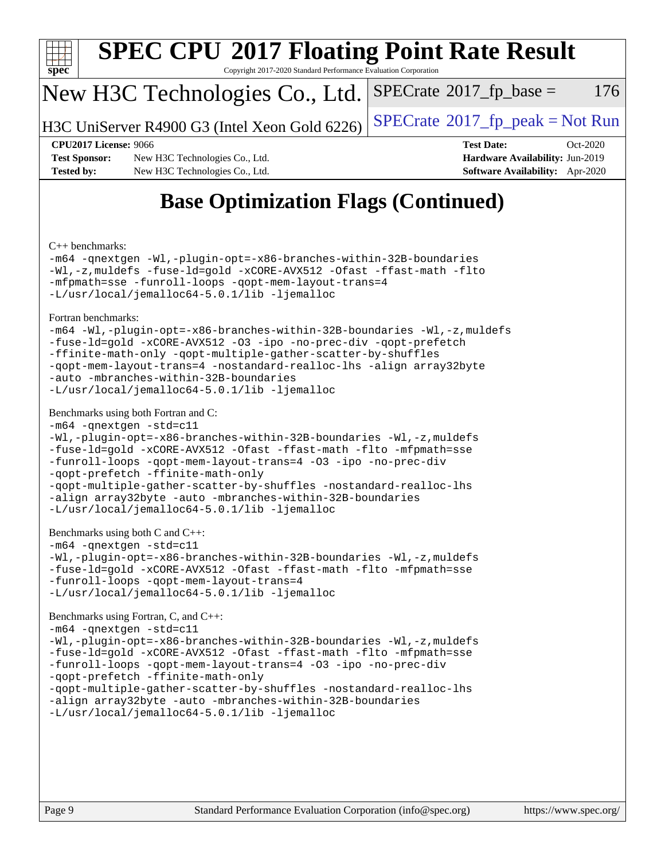

Copyright 2017-2020 Standard Performance Evaluation Corporation

### New H3C Technologies Co., Ltd.

H3C UniServer R4900 G3 (Intel Xeon Gold 6226) [SPECrate](http://www.spec.org/auto/cpu2017/Docs/result-fields.html#SPECrate2017fppeak)®[2017\\_fp\\_peak = N](http://www.spec.org/auto/cpu2017/Docs/result-fields.html#SPECrate2017fppeak)ot Run

 $SPECTate@2017<sub>fp</sub> base =  $176$$ 

**[Test Sponsor:](http://www.spec.org/auto/cpu2017/Docs/result-fields.html#TestSponsor)** New H3C Technologies Co., Ltd. **[Hardware Availability:](http://www.spec.org/auto/cpu2017/Docs/result-fields.html#HardwareAvailability)** Jun-2019 **[Tested by:](http://www.spec.org/auto/cpu2017/Docs/result-fields.html#Testedby)** New H3C Technologies Co., Ltd. **[Software Availability:](http://www.spec.org/auto/cpu2017/Docs/result-fields.html#SoftwareAvailability)** Apr-2020

**[CPU2017 License:](http://www.spec.org/auto/cpu2017/Docs/result-fields.html#CPU2017License)** 9066 **[Test Date:](http://www.spec.org/auto/cpu2017/Docs/result-fields.html#TestDate)** Oct-2020

### **[Base Optimization Flags \(Continued\)](http://www.spec.org/auto/cpu2017/Docs/result-fields.html#BaseOptimizationFlags)**

[C++ benchmarks:](http://www.spec.org/auto/cpu2017/Docs/result-fields.html#CXXbenchmarks)

[-m64](http://www.spec.org/cpu2017/results/res2020q4/cpu2017-20201027-24325.flags.html#user_CXXbase_m64-icc) [-qnextgen](http://www.spec.org/cpu2017/results/res2020q4/cpu2017-20201027-24325.flags.html#user_CXXbase_f-qnextgen) [-Wl,-plugin-opt=-x86-branches-within-32B-boundaries](http://www.spec.org/cpu2017/results/res2020q4/cpu2017-20201027-24325.flags.html#user_CXXbase_f-x86-branches-within-32B-boundaries_0098b4e4317ae60947b7b728078a624952a08ac37a3c797dfb4ffeb399e0c61a9dd0f2f44ce917e9361fb9076ccb15e7824594512dd315205382d84209e912f3) [-Wl,-z,muldefs](http://www.spec.org/cpu2017/results/res2020q4/cpu2017-20201027-24325.flags.html#user_CXXbase_link_force_multiple1_b4cbdb97b34bdee9ceefcfe54f4c8ea74255f0b02a4b23e853cdb0e18eb4525ac79b5a88067c842dd0ee6996c24547a27a4b99331201badda8798ef8a743f577) [-fuse-ld=gold](http://www.spec.org/cpu2017/results/res2020q4/cpu2017-20201027-24325.flags.html#user_CXXbase_f-fuse-ld_920b3586e2b8c6e0748b9c84fa9b744736ba725a32cab14ad8f3d4ad28eecb2f59d1144823d2e17006539a88734fe1fc08fc3035f7676166309105a78aaabc32) [-xCORE-AVX512](http://www.spec.org/cpu2017/results/res2020q4/cpu2017-20201027-24325.flags.html#user_CXXbase_f-xCORE-AVX512) [-Ofast](http://www.spec.org/cpu2017/results/res2020q4/cpu2017-20201027-24325.flags.html#user_CXXbase_f-Ofast) [-ffast-math](http://www.spec.org/cpu2017/results/res2020q4/cpu2017-20201027-24325.flags.html#user_CXXbase_f-ffast-math) [-flto](http://www.spec.org/cpu2017/results/res2020q4/cpu2017-20201027-24325.flags.html#user_CXXbase_f-flto) [-mfpmath=sse](http://www.spec.org/cpu2017/results/res2020q4/cpu2017-20201027-24325.flags.html#user_CXXbase_f-mfpmath_70eb8fac26bde974f8ab713bc9086c5621c0b8d2f6c86f38af0bd7062540daf19db5f3a066d8c6684be05d84c9b6322eb3b5be6619d967835195b93d6c02afa1) [-funroll-loops](http://www.spec.org/cpu2017/results/res2020q4/cpu2017-20201027-24325.flags.html#user_CXXbase_f-funroll-loops) [-qopt-mem-layout-trans=4](http://www.spec.org/cpu2017/results/res2020q4/cpu2017-20201027-24325.flags.html#user_CXXbase_f-qopt-mem-layout-trans_fa39e755916c150a61361b7846f310bcdf6f04e385ef281cadf3647acec3f0ae266d1a1d22d972a7087a248fd4e6ca390a3634700869573d231a252c784941a8) [-L/usr/local/jemalloc64-5.0.1/lib](http://www.spec.org/cpu2017/results/res2020q4/cpu2017-20201027-24325.flags.html#user_CXXbase_jemalloc_link_path64_1_cc289568b1a6c0fd3b62c91b824c27fcb5af5e8098e6ad028160d21144ef1b8aef3170d2acf0bee98a8da324cfe4f67d0a3d0c4cc4673d993d694dc2a0df248b) [-ljemalloc](http://www.spec.org/cpu2017/results/res2020q4/cpu2017-20201027-24325.flags.html#user_CXXbase_jemalloc_link_lib_d1249b907c500fa1c0672f44f562e3d0f79738ae9e3c4a9c376d49f265a04b9c99b167ecedbf6711b3085be911c67ff61f150a17b3472be731631ba4d0471706)

[Fortran benchmarks](http://www.spec.org/auto/cpu2017/Docs/result-fields.html#Fortranbenchmarks):

```
-m64 -Wl,-plugin-opt=-x86-branches-within-32B-boundaries -Wl,-z,muldefs
-fuse-ld=gold -xCORE-AVX512 -O3 -ipo -no-prec-div -qopt-prefetch
-ffinite-math-only -qopt-multiple-gather-scatter-by-shuffles
-qopt-mem-layout-trans=4 -nostandard-realloc-lhs -align array32byte
-auto -mbranches-within-32B-boundaries
-L/usr/local/jemalloc64-5.0.1/lib -ljemalloc
```
#### [Benchmarks using both Fortran and C](http://www.spec.org/auto/cpu2017/Docs/result-fields.html#BenchmarksusingbothFortranandC):

```
-m64 -qnextgen -std=c11
-Wl,-plugin-opt=-x86-branches-within-32B-boundaries -Wl,-z,muldefs
-fuse-ld=gold -xCORE-AVX512 -Ofast -ffast-math -flto -mfpmath=sse
-funroll-loops -qopt-mem-layout-trans=4 -O3 -ipo -no-prec-div
-qopt-prefetch -ffinite-math-only
-qopt-multiple-gather-scatter-by-shuffles -nostandard-realloc-lhs
-align array32byte -auto -mbranches-within-32B-boundaries
-L/usr/local/jemalloc64-5.0.1/lib -ljemalloc
```

```
Benchmarks using both C and C++:
```

```
-m64 -qnextgen -std=c11
-Wl,-plugin-opt=-x86-branches-within-32B-boundaries -Wl,-z,muldefs
```

```
-fuse-ld=gold -xCORE-AVX512 -Ofast -ffast-math -flto -mfpmath=sse
-funroll-loops -qopt-mem-layout-trans=4
-L/usr/local/jemalloc64-5.0.1/lib -ljemalloc
```
[Benchmarks using Fortran, C, and C++:](http://www.spec.org/auto/cpu2017/Docs/result-fields.html#BenchmarksusingFortranCandCXX)

```
-m64 -qnextgen -std=c11
-Wl,-plugin-opt=-x86-branches-within-32B-boundaries -Wl,-z,muldefs
-fuse-ld=gold -xCORE-AVX512 -Ofast -ffast-math -flto -mfpmath=sse
-funroll-loops -qopt-mem-layout-trans=4 -O3 -ipo -no-prec-div
-qopt-prefetch -ffinite-math-only
-qopt-multiple-gather-scatter-by-shuffles -nostandard-realloc-lhs
-align array32byte -auto -mbranches-within-32B-boundaries
-L/usr/local/jemalloc64-5.0.1/lib -ljemalloc
```